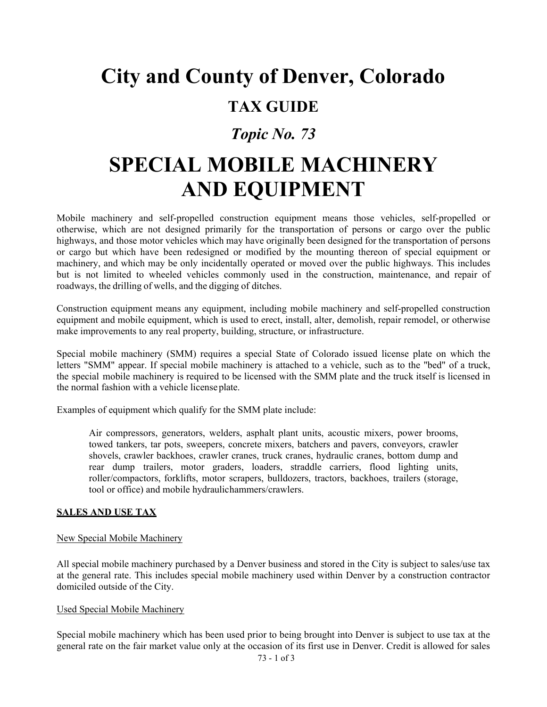# **City and County of Denver, Colorado**

### **TAX GUIDE**

## *Topic No. 73*

## **SPECIAL MOBILE MACHINERY AND EQUIPMENT**

Mobile machinery and self-propelled construction equipment means those vehicles, self-propelled or otherwise, which are not designed primarily for the transportation of persons or cargo over the public highways, and those motor vehicles which may have originally been designed for the transportation of persons or cargo but which have been redesigned or modified by the mounting thereon of special equipment or machinery, and which may be only incidentally operated or moved over the public highways. This includes but is not limited to wheeled vehicles commonly used in the construction, maintenance, and repair of roadways, the drilling of wells, and the digging of ditches.

Construction equipment means any equipment, including mobile machinery and self-propelled construction equipment and mobile equipment, which is used to erect, install, alter, demolish, repair remodel, or otherwise make improvements to any real property, building, structure, or infrastructure.

Special mobile machinery (SMM) requires a special State of Colorado issued license plate on which the letters "SMM" appear. If special mobile machinery is attached to a vehicle, such as to the "bed" of a truck, the special mobile machinery is required to be licensed with the SMM plate and the truck itself is licensed in the normal fashion with a vehicle licenseplate.

Examples of equipment which qualify for the SMM plate include:

Air compressors, generators, welders, asphalt plant units, acoustic mixers, power brooms, towed tankers, tar pots, sweepers, concrete mixers, batchers and pavers, conveyors, crawler shovels, crawler backhoes, crawler cranes, truck cranes, hydraulic cranes, bottom dump and rear dump trailers, motor graders, loaders, straddle carriers, flood lighting units, roller/compactors, forklifts, motor scrapers, bulldozers, tractors, backhoes, trailers (storage, tool or office) and mobile hydraulichammers/crawlers.

#### **SALES AND USE TAX**

#### New Special Mobile Machinery

All special mobile machinery purchased by a Denver business and stored in the City is subject to sales/use tax at the general rate. This includes special mobile machinery used within Denver by a construction contractor domiciled outside of the City.

#### Used Special Mobile Machinery

Special mobile machinery which has been used prior to being brought into Denver is subject to use tax at the general rate on the fair market value only at the occasion of its first use in Denver. Credit is allowed for sales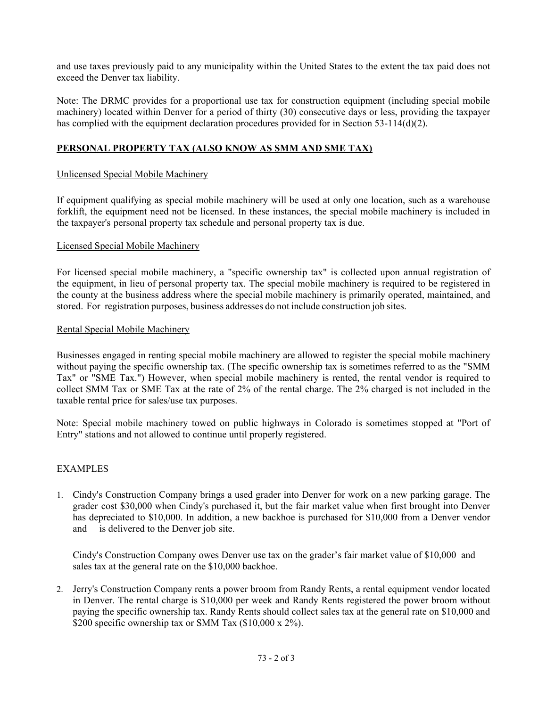and use taxes previously paid to any municipality within the United States to the extent the tax paid does not exceed the Denver tax liability.

Note: The DRMC provides for a proportional use tax for construction equipment (including special mobile machinery) located within Denver for a period of thirty (30) consecutive days or less, providing the taxpayer has complied with the equipment declaration procedures provided for in Section 53-114(d)(2).

#### **PERSONAL PROPERTY TAX (ALSO KNOW AS SMM AND SME TAX)**

#### Unlicensed Special Mobile Machinery

If equipment qualifying as special mobile machinery will be used at only one location, such as a warehouse forklift, the equipment need not be licensed. In these instances, the special mobile machinery is included in the taxpayer's personal property tax schedule and personal property tax is due.

#### Licensed Special Mobile Machinery

For licensed special mobile machinery, a "specific ownership tax" is collected upon annual registration of the equipment, in lieu of personal property tax. The special mobile machinery is required to be registered in the county at the business address where the special mobile machinery is primarily operated, maintained, and stored. For registration purposes, business addresses do not include construction job sites.

#### Rental Special Mobile Machinery

Businesses engaged in renting special mobile machinery are allowed to register the special mobile machinery without paying the specific ownership tax. (The specific ownership tax is sometimes referred to as the "SMM Tax" or "SME Tax.") However, when special mobile machinery is rented, the rental vendor is required to collect SMM Tax or SME Tax at the rate of 2% of the rental charge. The 2% charged is not included in the taxable rental price for sales/use tax purposes.

Note: Special mobile machinery towed on public highways in Colorado is sometimes stopped at "Port of Entry" stations and not allowed to continue until properly registered.

#### EXAMPLES

1. Cindy's Construction Company brings a used grader into Denver for work on a new parking garage. The grader cost \$30,000 when Cindy's purchased it, but the fair market value when first brought into Denver has depreciated to \$10,000. In addition, a new backhoe is purchased for \$10,000 from a Denver vendor and is delivered to the Denver job site.

Cindy's Construction Company owes Denver use tax on the grader's fair market value of \$10,000 and sales tax at the general rate on the \$10,000 backhoe.

2. Jerry's Construction Company rents a power broom from Randy Rents, a rental equipment vendor located in Denver. The rental charge is \$10,000 per week and Randy Rents registered the power broom without paying the specific ownership tax. Randy Rents should collect sales tax at the general rate on \$10,000 and \$200 specific ownership tax or SMM Tax (\$10,000 x 2%).